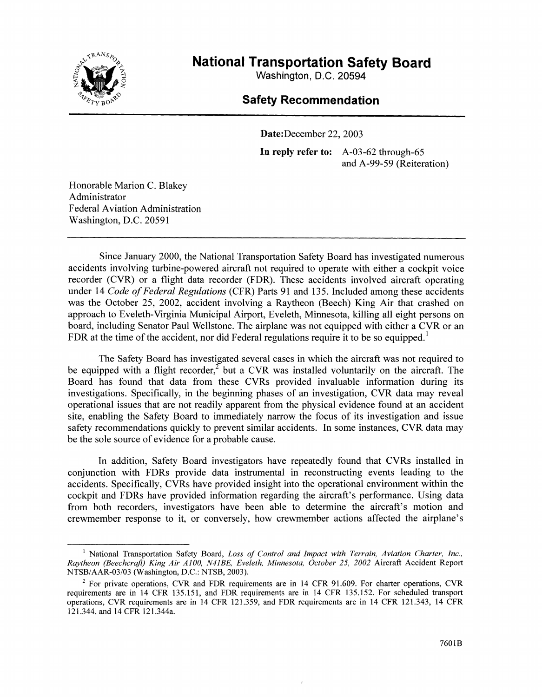

**National Transportation Safety Board** 

**Washington, D.C. 20594** 

# **Safety Recommendation**

Date:December 22, 2003 **In reply refer to:** A-03-62 through-65 and A-99-59 (Reiteration)

Honorable Marion C. Blakey Administrator Federal Aviation Administration Washington, D.C. 20591

Since January 2000, the National Transportation Safety Board has investigated numerous accidents involving turbine-powered aircraft not required to operate with either a cockpit voice recorder (CVR) or a flight data recorder (FDR). These accidents involved aircraft operating under 14 *Code of Federal Regulations* (CFR) Parts 91 and 135. Included among these accidents was the October 25, 2002, accident involving a Raytheon (Beech) King Air that crashed on approach to Eveleth-Virginia Municipal Airport, Eveleth, Minnesota, killing all eight persons on board, including Senator Paul Wellstone. The airplane was not equipped with either a CVR or an FDR at the time of the accident, nor did Federal regulations require it to be so equipped.<sup>1</sup>

The Safety Board has investigated several cases in which the aircraft was not required to be equipped with a flight recorder,<sup>2</sup> but a CVR was installed voluntarily on the aircraft. The Board has found that data from these CVRs provided invaluable information during its investigations. Specifically, in the beginning phases of an investigation, CVR data may reveal operational issues that are not readily apparent from the physical evidence found at an accident site, enabling the Safety Board to immediately narrow the focus of its investigation and issue safety recommendations quickly to prevent similar accidents. In some instances, CVR data may be the sole source of evidence for a probable cause.

In addition, Safety Board investigators have repeatedly found that CVRs installed in conjunction with FDRs provide data instrumental in reconstructing events leading to the accidents. Specifically, CVRs have provided insight into the operational environment within the cockpit and FDRs have provided information regarding the aircraft's performance. Using data from both recorders, investigators have been able to determine the aircraft's motion and crewmember response to it, or conversely, how crewmember actions affected the airplane's

<sup>1</sup> National Transportation Safety Board, *Loss of Control and Impact with Terrain, Aviation Charter, Inc., Raytheon (Beechcraft) King Air AJOO, N41BE, Eveleth, Minnesota, October 25, 2002* Aircraft Accident Report NTSB/AAR-03/03 (Washington, D.C.: NTSB, 2003).

 $2$  For private operations, CVR and FDR requirements are in 14 CFR 91.609. For charter operations, CVR requirements are in 14 CFR 135.151, and FDR requirements are in 14 CFR 135.152. For scheduled transport operations, CVR requirements are in 14 CFR 121.359, and FDR requirements are in 14 CFR 121.343, 14 CFR 121.344, and 14 CFR 121.344a.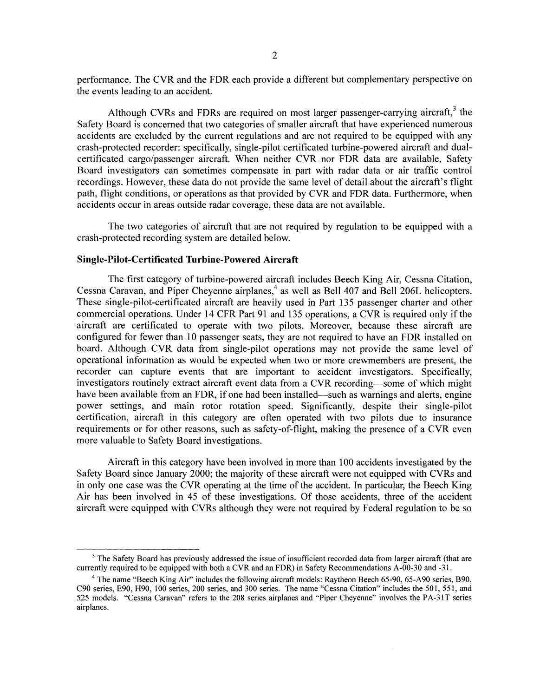performance. The CVR and the FDR each provide a different but complementary perspective on the events leading to an accident.

Although CVRs and FDRs are required on most larger passenger-carrying aircraft,  $3$  the Safety Board is concerned that two categories of smaller aircraft that have experienced numerous accidents are excluded by the current regulations and are not required to be equipped with any crash-protected recorder: specifically, single-pilot certificated turbine-powered aircraft and dualcertificated cargo/passenger aircraft. When neither CVR nor FDR data are available, Safety Board investigators can sometimes compensate in part with radar data or air traffic control recordings. However, these data do not provide the same level of detail about the aircraft's flight path, flight conditions, or operations as that provided by CVR and FDR data. Furthermore, when accidents occur in areas outside radar coverage, these data are not available.

The two categories of aircraft that are not required by regulation to be equipped with a crash-protected recording system are detailed below.

## **Single-Pilot-Certificated Turbine-Powered Aircraft**

The first category of turbine-powered aircraft includes Beech King Air, Cessna Citation, Cessna Caravan, and Piper Cheyenne airplanes,<sup>4</sup> as well as Bell 407 and Bell 206L helicopters. These single-pilot-certificated aircraft are heavily used in Part 135 passenger charter and other commercial operations. Under 14 CFR Part 91 and 135 operations, a CVR is required only ifthe aircraft are certificated to operate with two pilots. Moreover, because these aircraft are configured for fewer than 10 passenger seats, they are not required to have an FDR installed on board. Although CVR data from single-pilot operations may not provide the same level of operational information as would be expected when two or more crewmembers are present, the recorder can capture events that are important to accident investigators. Specifically, investigators routinely extract aircraft event data from a CVR recording-some of which might have been available from an FDR, if one had been installed—such as warnings and alerts, engine power settings, and main rotor rotation speed. Significantly, despite their single-pilot certification, aircraft in this category are often operated with two pilots due to insurance requirements or for other reasons, such as safety-of-flight, making the presence of a CVR even more valuable to Safety Board investigations.

Aircraft in this category have been involved in more than 100 accidents investigated by the Safety Board since January 2000; the majority of these aircraft were not equipped with CVRs and in only one case was the CVR operating at the time of the accident. In particular, the Beech King Air has been involved in 45 of these investigations. Of those accidents, three of the accident aircraft were equipped with CVRs although they were not required by Federal regulation to be so

 $3$  The Safety Board has previously addressed the issue of insufficient recorded data from larger aircraft (that are currently required to be equipped with both a CVR and an FDR) in Safety Recommendations A-00-30 and -31.

<sup>&</sup>lt;sup>4</sup> The name "Beech King Air" includes the following aircraft models: Raytheon Beech 65-90, 65-A90 series, B90, C90 series, E90, H90, 100 series, 200 series, and 300 series. The name "Cessna Citation" includes the 501, 551, and 525 models. "Cessna Caravan" refers to the 208 series airplanes and "Piper Cheyenne" involves the PA-31T series airplanes.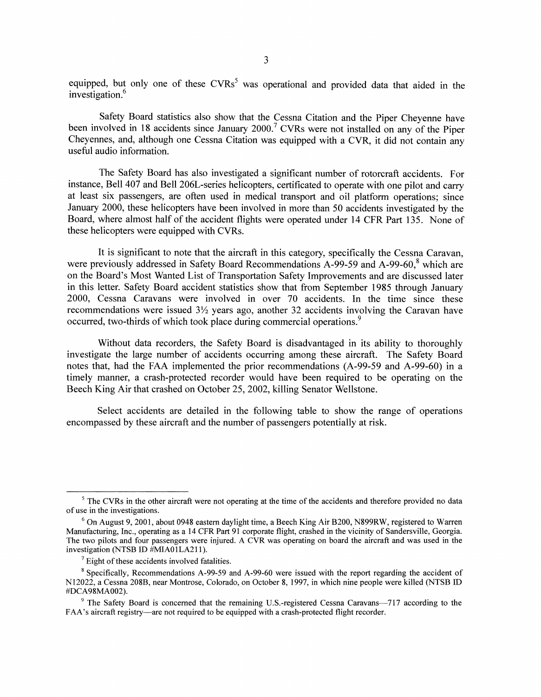equipped, but only one of these  $CVRs^5$  was operational and provided data that aided in the investigation.<sup>6</sup>

Safety Board statistics also show that the Cessna Citation and the Piper Cheyenne have been involved in 18 accidents since January 2000.<sup>7</sup> CVRs were not installed on any of the Piper Cheyennes, and, although one Cessna Citation was equipped with a CVR, it did not contain any useful audio information.

The Safety Board has also investigated a significant number of rotorcraft accidents. For instance, Bell 407 and Bell 206L-series helicopters, certificated to operate with one pilot and carry at least six passengers, are often used in medical transport and oil platform operations; since January 2000, these helicopters have been involved in more than 50 accidents investigated by the Board, where almost half of the accident flights were operated under 14 CFR Part 135. None of these helicopters were equipped with CVRs.

It is significant to note that the aircraft in this category, specifically the Cessna Caravan, were previously addressed in Safety Board Recommendations A-99-59 and A-99-60, $8$  which are on the Board's Most Wanted List of Transportation Safety Improvements and are discussed later in this letter. Safety Board accident statistics show that from September 1985 through January 2000, Cessna Caravans were involved in over 70 accidents. In the time since these recommendations were issued  $3\frac{1}{2}$  years ago, another 32 accidents involving the Caravan have occurred, two-thirds of which took place during commercial operations.<sup>9</sup>

Without data recorders, the Safety Board is disadvantaged in its ability to thoroughly investigate the large number of accidents occurring among these aircraft. The Safety Board notes that, had the FAA implemented the prior recommendations (A-99-59 and A-99-60) in a timely manner, a crash-protected recorder would have been required to be operating on the Beech King Air that crashed on October 25, 2002, killing Senator Wellstone.

Select accidents are detailed in the following table to show the range of operations encompassed by these aircraft and the number of passengers potentially at risk.

<sup>&</sup>lt;sup>5</sup> The CVRs in the other aircraft were not operating at the time of the accidents and therefore provided no data of use in the investigations.

 $6$  On August 9, 2001, about 0948 eastern daylight time, a Beech King Air B200, N899RW, registered to Warren Manufacturing, Inc., operating as a 14 CFR Part 91 corporate flight, crashed in the vicinity of Sandersville, Georgia. The two pilots and four passengers were injured. A CVR was operating on board the aircraft and was used in the investigation (NTSB ID #MIA01LA211).

 $\frac{7}{7}$  Eight of these accidents involved fatalities.

<sup>8</sup> Specifically, Recommendations A-99-59 and A-99-60 were issued with the report regarding the accident of N12022, a Cessna 208B, near Montrose, Colorado, on October 8, 1997, in which nine people were killed (NTSB ID #DCA98MA002).

<sup>&</sup>lt;sup>9</sup> The Safety Board is concerned that the remaining U.S.-registered Cessna Caravans-717 according to the FAA's aircraft registry—are not required to be equipped with a crash-protected flight recorder.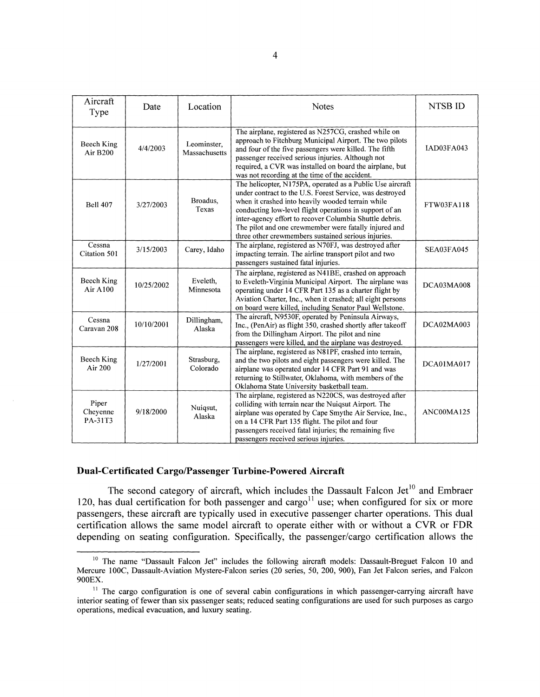| Aircraft<br>Type              | Date       | Location                     | <b>Notes</b>                                                                                                                                                                                                                                                                                                                                                                                                     | NTSB ID    |
|-------------------------------|------------|------------------------------|------------------------------------------------------------------------------------------------------------------------------------------------------------------------------------------------------------------------------------------------------------------------------------------------------------------------------------------------------------------------------------------------------------------|------------|
| Beech King<br>Air B200        | 4/4/2003   | Leominster,<br>Massachusetts | The airplane, registered as N257CG, crashed while on<br>approach to Fitchburg Municipal Airport. The two pilots<br>and four of the five passengers were killed. The fifth<br>passenger received serious injuries. Although not<br>required, a CVR was installed on board the airplane, but<br>was not recording at the time of the accident.                                                                     | IAD03FA043 |
| <b>Bell 407</b>               | 3/27/2003  | Broadus.<br>Texas            | The helicopter, N175PA, operated as a Public Use aircraft<br>under contract to the U.S. Forest Service, was destroyed<br>when it crashed into heavily wooded terrain while<br>conducting low-level flight operations in support of an<br>inter-agency effort to recover Columbia Shuttle debris.<br>The pilot and one crewmember were fatally injured and<br>three other crewmembers sustained serious injuries. | FTW03FA118 |
| Cessna<br>Citation 501        | 3/15/2003  | Carey, Idaho                 | The airplane, registered as N70FJ, was destroyed after<br>impacting terrain. The airline transport pilot and two<br>passengers sustained fatal injuries.                                                                                                                                                                                                                                                         | SEA03FA045 |
| Beech King<br><b>Air A100</b> | 10/25/2002 | Eveleth,<br>Minnesota        | The airplane, registered as N41BE, crashed on approach<br>to Eveleth-Virginia Municipal Airport. The airplane was<br>operating under 14 CFR Part 135 as a charter flight by<br>Aviation Charter, Inc., when it crashed; all eight persons<br>on board were killed, including Senator Paul Wellstone.                                                                                                             | DCA03MA008 |
| Cessna<br>Caravan 208         | 10/10/2001 | Dillingham,<br>Alaska        | The aircraft, N9530F, operated by Peninsula Airways,<br>Inc., (PenAir) as flight 350, crashed shortly after takeoff<br>from the Dillingham Airport. The pilot and nine<br>passengers were killed, and the airplane was destroyed.                                                                                                                                                                                | DCA02MA003 |
| Beech King<br>Air 200         | 1/27/2001  | Strasburg,<br>Colorado       | The airplane, registered as N81PF, crashed into terrain,<br>and the two pilots and eight passengers were killed. The<br>airplane was operated under 14 CFR Part 91 and was<br>returning to Stillwater, Oklahoma, with members of the<br>Oklahoma State University basketball team.                                                                                                                               | DCA01MA017 |
| Piper<br>Cheyenne<br>PA-31T3  | 9/18/2000  | Nuiqsut,<br>Alaska           | The airplane, registered as N220CS, was destroyed after<br>colliding with terrain near the Nuiqsut Airport. The<br>airplane was operated by Cape Smythe Air Service, Inc.,<br>on a 14 CFR Part 135 flight. The pilot and four<br>passengers received fatal injuries; the remaining five<br>passengers received serious injuries.                                                                                 | ANC00MA125 |

# **Dual-Certificated Cargo/Passenger Turbine-Powered Aircraft**

The second category of aircraft, which includes the Dassault Falcon Jet<sup>10</sup> and Embraer 120, has dual certification for both passenger and cargo<sup>11</sup> use; when configured for six or more passengers, these aircraft are typically used in executive passenger charter operations. This dual certification allows the same model aircraft to operate either with or without a CVR or FDR depending on seating configuration. Specifically, the passenger/cargo certification allows the

<sup>&</sup>lt;sup>10</sup> The name "Dassault Falcon Jet" includes the following aircraft models: Dassault-Breguet Falcon 10 and Mercure IOOC, Dassault-Aviation Mystere-Falcon series (20 series, 50, 200, 900), Fan Jet Falcon series, and Falcon 900EX.

 $11$  The cargo configuration is one of several cabin configurations in which passenger-carrying aircraft have interior seating of fewer than six passenger seats; reduced seating configurations are used for such purposes as cargo operations, medical evacuation, and luxury seating.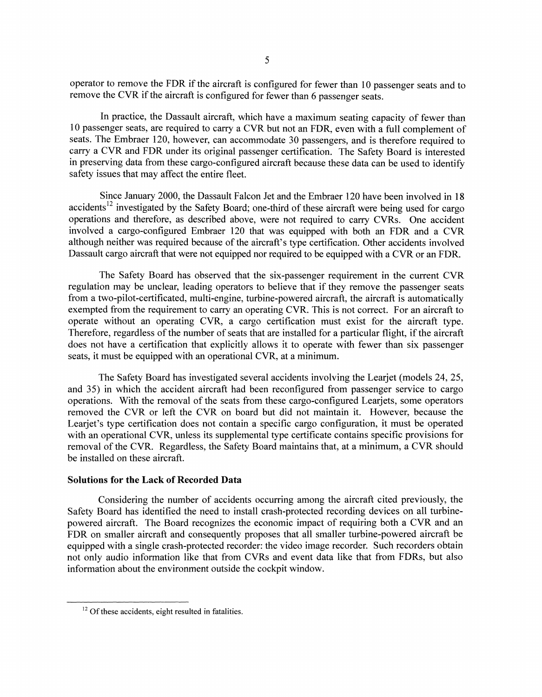operator to remove the FDR if the aircraft is configured for fewer than 10 passenger seats and to remove the CVR if the aircraft is configured for fewer than 6 passenger seats.

In practice, the Dassault aircraft, which have a maximum seating capacity of fewer than 10 passenger seats, are required to carry a CVR but not an FDR, even with a full complement of seats. The Embraer 120, however, can accommodate 30 passengers, and is therefore required to carry a CVR and FDR under its original passenger certification. The Safety Board is interested in preserving data from these cargo-configured aircraft because these data can be used to identify safety issues that may affect the entire fleet.

Since January 2000, the Dassault Falcon Jet and the Embraer 120 have been involved in 18 accidents<sup>12</sup> investigated by the Safety Board; one-third of these aircraft were being used for cargo operations and therefore, as described above, were not required to carry CVRs. One accident involved a cargo-configured Embraer 120 that was equipped with both an FDR and a CVR although neither was required because of the aircraft's type certification. Other accidents involved Dassault cargo aircraft that were not equipped nor required to be equipped with a CVR or an FDR.

The Safety Board has observed that the six-passenger requirement in the current CVR regulation may be unclear, leading operators to believe that if they remove the passenger seats from a two-pilot-certificated, multi-engine, turbine-powered aircraft, the aircraft is automatically exempted from the requirement to carry an operating CVR. This is not correct. For an aircraft to operate without an operating CVR, a cargo certification must exist for the aircraft type. Therefore, regardless of the number of seats that are installed for a particular flight, if the aircraft does not have a certification that explicitly allows it to operate with fewer than six passenger seats, it must be equipped with an operational CVR, at a minimum.

The Safety Board has investigated several accidents involving the Learjet (models 24, 25, and 35) in which the accident aircraft had been reconfigured from passenger service to cargo operations. With the removal of the seats from these cargo-configured Learjets, some operators removed the CVR or left the CVR on board but did not maintain it. However, because the Learjet's type certification does not contain a specific cargo configuration, it must be operated with an operational CVR, unless its supplemental type certificate contains specific provisions for removal of the CVR. Regardless, the Safety Board maintains that, at a minimum, a CVR should be installed on these aircraft.

#### **Solutions for the Lack of Recorded Data**

Considering the number of accidents occurring among the aircraft cited previously, the Safety Board has identified the need to install crash-protected recording devices on all turbinepowered aircraft. The Board recognizes the economic impact of requiring both a CVR and an FDR on smaller aircraft and consequently proposes that all smaller turbine-powered aircraft be equipped with a single crash-protected recorder: the video image recorder. Such recorders obtain not only audio information like that from CVRs and event data like that from FDRs, but also information about the environment outside the cockpit window.

 $12$  Of these accidents, eight resulted in fatalities.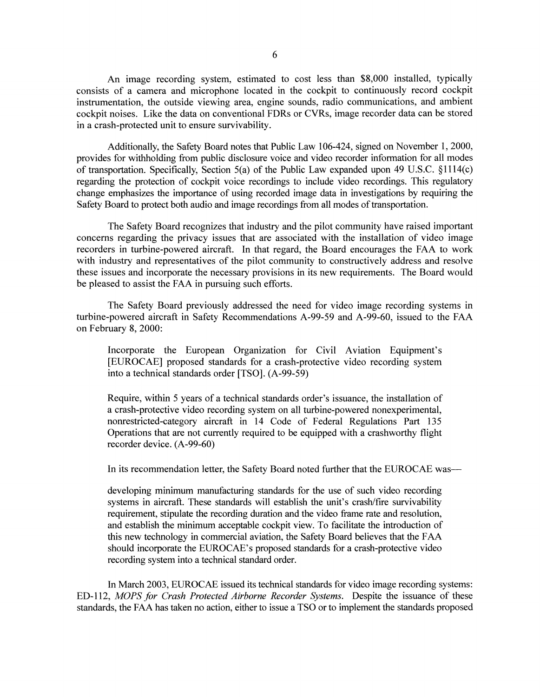An image recording system, estimated to cost less than \$8,000 installed, typically consists of a camera and microphone located in the cockpit to continuously record cockpit instrumentation, the outside viewing area, engine sounds, radio communications, and ambient cockpit noises. Like the data on conventional FDRs or CVRs, image recorder data can be stored in a crash-protected unit to ensure survivability.

Additionally, the Safety Board notes that Public Law 106-424, signed on November 1, 2000, provides for withholding from public disclosure voice and video recorder information for all modes of transportation. Specifically, Section 5(a) of the Public Law expanded upon 49 U.S.C. §1114(c) regarding the protection of cockpit voice recordings to include video recordings. This regulatory change emphasizes the importance of using recorded image data in investigations by requiring the Safety Board to protect both audio and image recordings from all modes of transportation.

The Safety Board recognizes that industry and the pilot community have raised important concerns regarding the privacy issues that are associated with the installation of video image recorders in turbine-powered aircraft. In that regard, the Board encourages the FAA to work with industry and representatives of the pilot community to constructively address and resolve these issues and incorporate the necessary provisions in its new requirements. The Board would be pleased to assist the FAA in pursuing such efforts.

The Safety Board previously addressed the need for video image recording systems in turbine-powered aircraft in Safety Recommendations A-99-59 and A-99-60, issued to the FAA on February 8, 2000:

Incorporate the European Organization for Civil Aviation Equipment's [EUROCAE] proposed standards for a crash-protective video recording system into a technical standards order [TSO]. (A-99-59)

Require, within 5 years of a technical standards order's issuance, the installation of a crash-protective video recording system on all turbine-powered nonexperimental, nonrestricted-category aircraft in 14 Code of Federal Regulations Part 135 Operations that are not currently required to be equipped with a crashworthy flight recorder device. (A-99-60)

In its recommendation letter, the Safety Board noted further that the EUROCAE was-

developing minimum manufacturing standards for the use of such video recording systems in aircraft. These standards will establish the unit's crash/fire survivability requirement, stipulate the recording duration and the video frame rate and resolution, and establish the minimum acceptable cockpit view. To facilitate the introduction of this new technology in commercial aviation, the Safety Board believes that the FAA should incorporate the EUROCAE's proposed standards for a crash-protective video recording system into a technical standard order.

In March 2003, EUROCAE issued its technical standards for video image recording systems: ED-112, *MOPS for Crash Protected Airborne Recorder Systems.* Despite the issuance of these standards, the FAA has taken no action, either to issue a TSO or to implement the standards proposed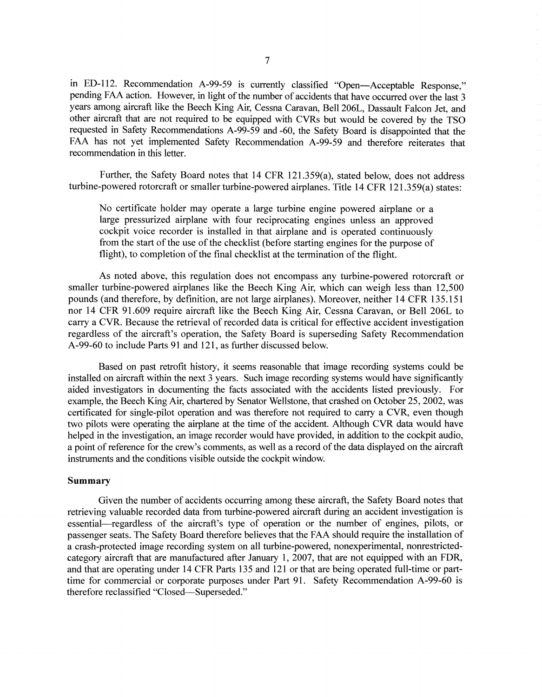in ED-112. Recommendation A-99-59 is currently classified "Open-Acceptable Response," pending FAA action. However, in light of the number of accidents that have occurred over the last 3 years among aircraft like the Beech King Air, Cessna Caravan, Bell 206L, Dassault Falcon Jet, and other aircraft that are not required to be equipped with CVRs but would be covered by the TSO requested in Safety Recommendations A-99-59 and-60, the Safety Board is disappointed that the FAA has not yet implemented Safety Recommendation A-99-59 and therefore reiterates that recommendation in this letter.

Further, the Safety Board notes that 14 CFR 121.359(a), stated below, does not address turbine-powered rotorcraft or smaller turbine-powered airplanes. Title 14 CFR 121.359(a) states:

No certificate holder may operate a large turbine engine powered airplane or a large pressurized airplane with four reciprocating engines unless an approved cockpit voice recorder is installed in that airplane and is operated continuously from the start of the use of the checklist (before starting engines for the purpose of flight), to completion of the final checklist at the termination of the flight.

As noted above, this regulation does not encompass any turbine-powered rotorcraft or smaller turbine-powered airplanes like the Beech King Air, which can weigh less than 12,500 pounds (and therefore, by definition, are not large airplanes). Moreover, neither 14 CFR 135.151 nor 14 CFR 91.609 require aircraft like the Beech King Air, Cessna Caravan, or Bell 206L to carry a CVR. Because the retrieval of recorded data is critical for effective accident investigation regardless of the aircraft's operation, the Safety Board is superseding Safety Recommendation A-99-60 to include Parts 91 and 121, as further discussed below.

Based on past retrofit history, it seems reasonable that image recording systems could be installed on aircraft within the next 3 years. Such image recording systems would have significantly aided investigators in documenting the facts associated with the accidents listed previously. For example, the Beech King Air, chartered by Senator Wellstone, that crashed on October 25, 2002, was certificated for single-pilot operation and was therefore not required to carry a CVR, even though two pilots were operating the airplane at the time of the accident. Although CVR data would have helped in the investigation, an image recorder would have provided, in addition to the cockpit audio, a point of reference for the crew's comments, as well as a record of the data displayed on the aircraft instruments and the conditions visible outside the cockpit window.

### **Summary**

Given the number of accidents occurring among these aircraft, the Safety Board notes that retrieving valuable recorded data from turbine-powered aircraft during an accident investigation is essential—regardless of the aircraft's type of operation or the number of engines, pilots, or passenger seats. The Safety Board therefore believes that the FAA should require the installation of a crash-protected image recording system on all turbine-powered, nonexperimental, nonrestrictedcategory aircraft that are manufactured after January 1, 2007, that are not equipped with an FDR, and that are operating under 14 CFR Parts 135 and 121 or that are being operated full-time or parttime for commercial or corporate purposes under Part 91. Safety Recommendation A-99-60 is therefore reclassified "Closed-Superseded."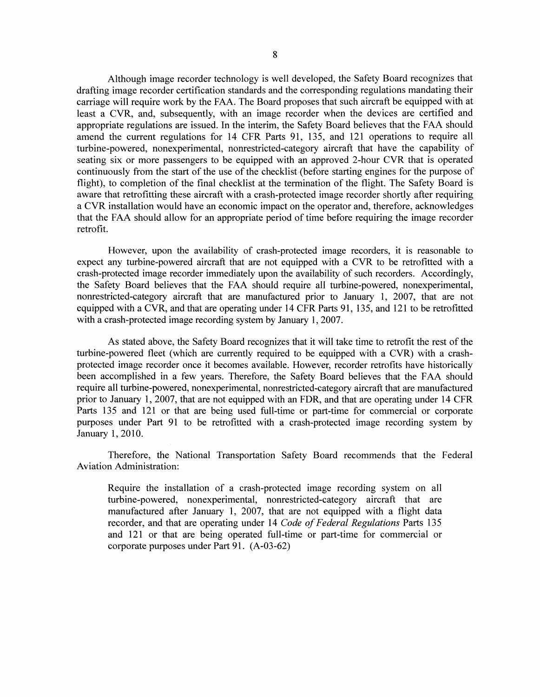Although image recorder technology is well developed, the Safety Board recognizes that drafting image recorder certification standards and the corresponding regulations mandating their carriage will require work by the FAA. The Board proposes that such aircraft be equipped with at least a CVR, and, subsequently, with an image recorder when the devices are certified and appropriate regulations are issued. In the interim, the Safety Board believes that the FAA should amend the current regulations for 14 CFR Parts 91, 135, and 121 operations to require all turbine-powered, nonexperimental, nonrestricted-category aircraft that have the capability of seating six or more passengers to be equipped with an approved 2-hour CVR that is operated continuously from the start of the use of the checklist (before starting engines for the purpose of flight), to completion of the final checklist at the termination of the flight. The Safety Board is aware that retrofitting these aircraft with a crash-protected image recorder shortly after requiring a CVR installation would have an economic impact on the operator and, therefore, acknowledges that the FAA should allow for an appropriate period of time before requiring the image recorder retrofit.

However, upon the availability of crash-protected image recorders, it is reasonable to expect any turbine-powered aircraft that are not equipped with a CVR to be retrofitted with a crash-protected image recorder immediately upon the availability of such recorders. Accordingly, the Safety Board believes that the FAA should require all turbine-powered, nonexperimental, nonrestricted-category aircraft that are manufactured prior to January 1, 2007, that are not equipped with a CVR, and that are operating under 14 CFR Parts 91, 135, and 121 to be retrofitted with a crash-protected image recording system by January 1, 2007.

As stated above, the Safety Board recognizes that it will take time to retrofit the rest of the turbine-powered fleet (which are currently required to be equipped with a CVR) with a crashprotected image recorder once it becomes available. However, recorder retrofits have historically been accomplished in a few years. Therefore, the Safety Board believes that the FAA should require all turbine-powered, nonexperimental, nonrestricted-category aircraft that are manufactured prior to January 1, 2007, that are not equipped with an FDR, and that are operating under 14 CFR Parts 135 and 121 or that are being used full-time or part-time for commercial or corporate purposes under Part 91 to be retrofitted with a crash-protected image recording system by January 1, 2010.

Therefore, the National Transportation Safety Board recommends that the Federal Aviation Administration:

Require the installation of a crash-protected image recording system on all turbine-powered, nonexperimental, nonrestricted-category aircraft that are manufactured after January 1, 2007, that are not equipped with a flight data recorder, and that are operating under 14 *Code of Federal Regulations* Parts 135 and 121 or that are being operated full-time or part-time for commercial or corporate purposes under Part 91. (A-03-62)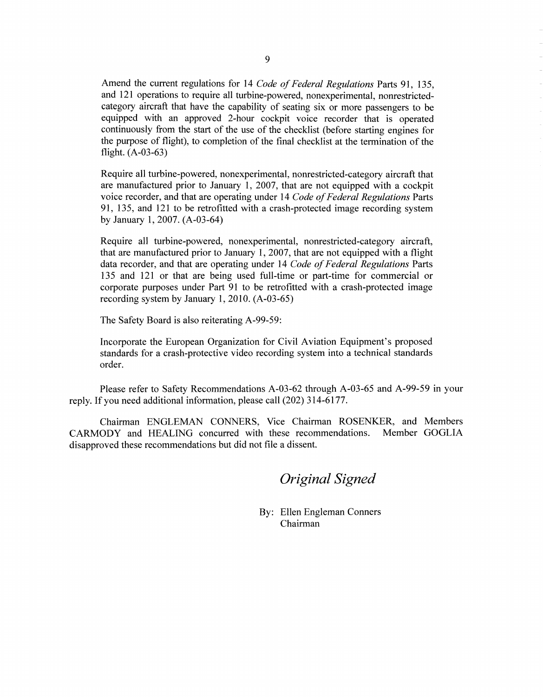Amend the current regulations for 14 *Code of Federal Regulations* Parts 91, 135, and 121 operations to require all turbine-powered, nonexperimental, nonrestrictedcategory aircraft that have the capability of seating six or more passengers to be equipped with an approved 2-hour cockpit voice recorder that is operated continuously from the start of the use of the checklist (before starting engines for the purpose of flight), to completion of the final checklist at the termination of the flight. (A-03-63)

Require all turbine-powered, nonexperimental, nonrestricted-category aircraft that are manufactured prior to January 1, 2007, that are not equipped with a cockpit voice recorder, and that are operating under 14 *Code of Federal Regulations* Parts 91, 135, and 121 to be retrofitted with a crash-protected image recording system by January 1, 2007. (A-03-64)

Require all turbine-powered, nonexperimental, nonrestricted-category aircraft, that are manufactured prior to January 1, 2007, that are not equipped with a flight data recorder, and that are operating under 14 *Code of Federal Regulations* Parts 135 and 121 or that are being used full-time or part-time for commercial or corporate purposes under Part 91 to be retrofitted with a crash-protected image recording system by January 1, 2010. (A-03-65)

The Safety Board is also reiterating A-99-59:

Incorporate the European Organization for Civil Aviation Equipment's proposed standards for a crash-protective video recording system into a technical standards order.

Please refer to Safety Recommendations A-03-62 through A-03-65 and A-99-59 in your reply. If you need additional information, please call (202) 314-6177.

Chairman ENGLEMAN CONNERS, Vice Chairman ROSENKER, and Members CARMODY and HEALING concurred with these recommendations. Member GOGLIA disapproved these recommendations but did not file a dissent.

*Original Signed* 

By: Ellen Engleman Conners Chairman